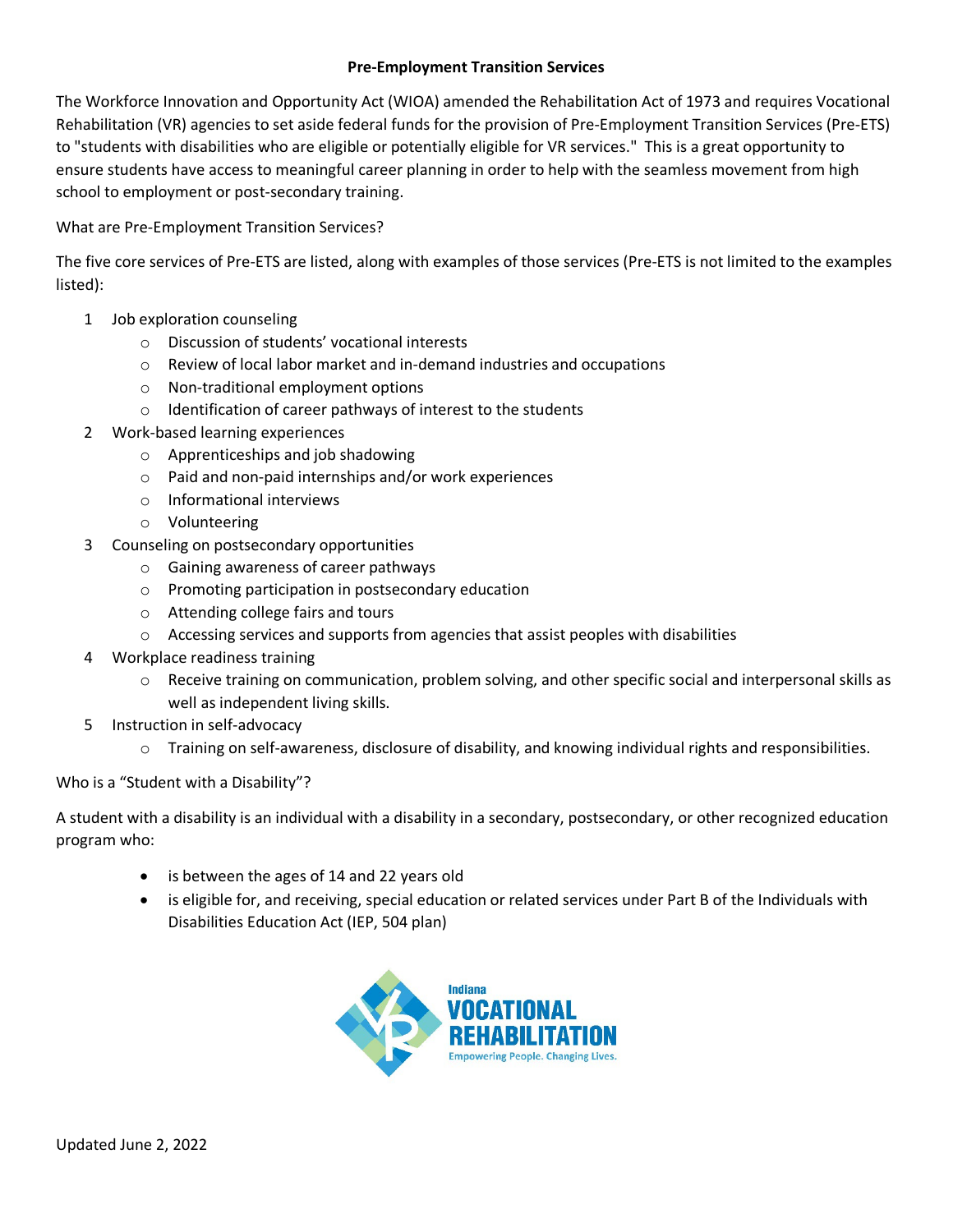## **Pre-Employment Transition Services**

The Workforce Innovation and Opportunity Act (WIOA) amended the Rehabilitation Act of 1973 and requires Vocational Rehabilitation (VR) agencies to set aside federal funds for the provision of Pre-Employment Transition Services (Pre-ETS) to "students with disabilities who are eligible or potentially eligible for VR services." This is a great opportunity to ensure students have access to meaningful career planning in order to help with the seamless movement from high school to employment or post-secondary training.

What are Pre-Employment Transition Services?

The five core services of Pre-ETS are listed, along with examples of those services (Pre-ETS is not limited to the examples listed):

- 1 Job exploration counseling
	- o Discussion of students' vocational interests
	- $\circ$  Review of local labor market and in-demand industries and occupations
	- o Non-traditional employment options
	- o Identification of career pathways of interest to the students
- 2 Work-based learning experiences
	- o Apprenticeships and job shadowing
	- o Paid and non-paid internships and/or work experiences
	- o Informational interviews
	- o Volunteering
- 3 Counseling on postsecondary opportunities
	- o Gaining awareness of career pathways
	- o Promoting participation in postsecondary education
	- o Attending college fairs and tours
	- $\circ$  Accessing services and supports from agencies that assist peoples with disabilities
- 4 Workplace readiness training
	- $\circ$  Receive training on communication, problem solving, and other specific social and interpersonal skills as well as independent living skills.
- 5 Instruction in self-advocacy
	- $\circ$  Training on self-awareness, disclosure of disability, and knowing individual rights and responsibilities.

## Who is a "Student with a Disability"?

A student with a disability is an individual with a disability in a secondary, postsecondary, or other recognized education program who:

- is between the ages of 14 and 22 years old
- is eligible for, and receiving, special education or related services under Part B of the Individuals with Disabilities Education Act (IEP, 504 plan)

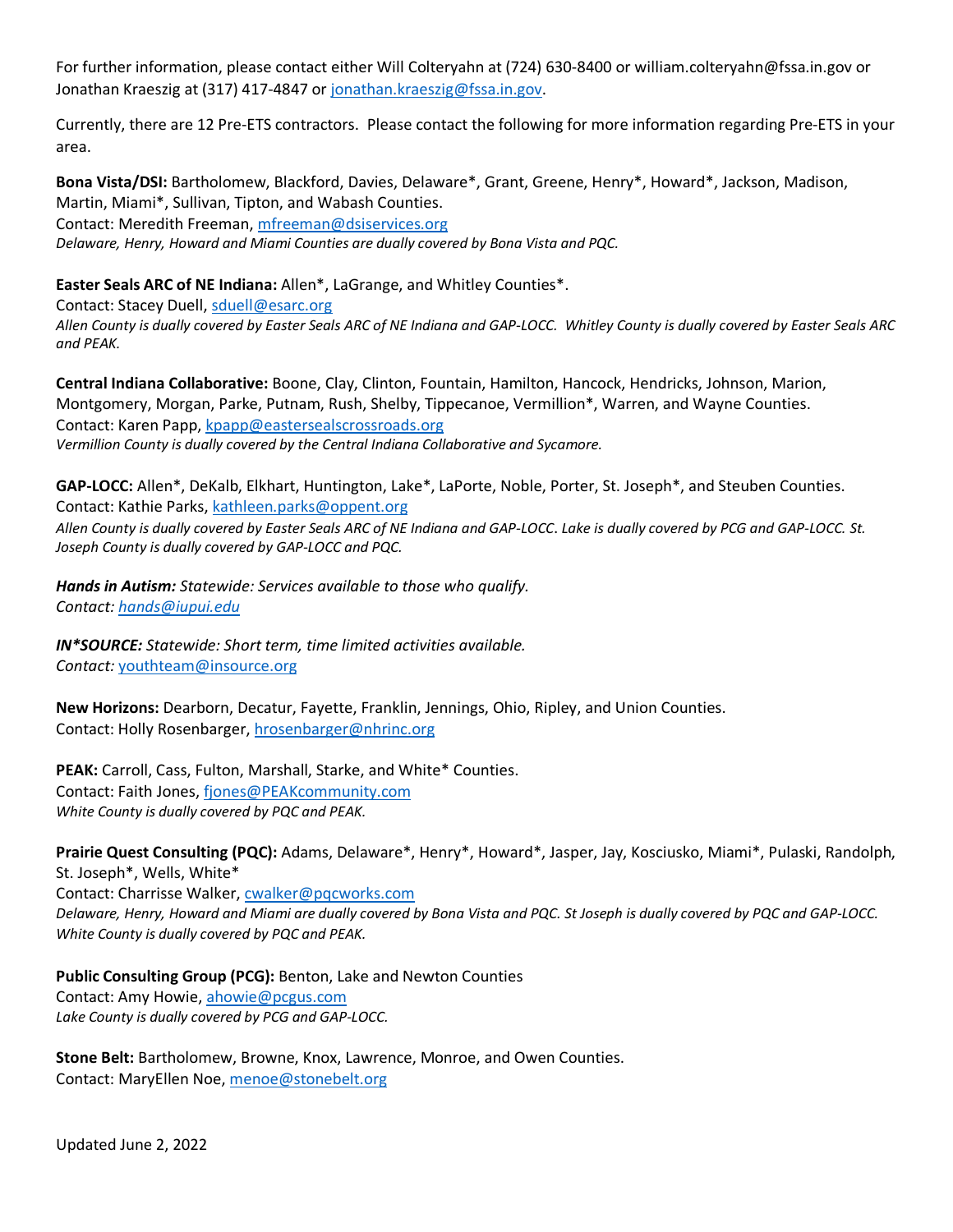For further information, please contact either Will Colteryahn at (724) 630-8400 or william.colteryahn@fssa.in.gov or Jonathan Kraeszig at (317) 417-4847 or [jonathan.kraeszig@fssa.in.gov.](mailto:jonathan.kraeszig@fssa.in.gov)

Currently, there are 12 Pre-ETS contractors. Please contact the following for more information regarding Pre-ETS in your area.

**Bona Vista/DSI:** Bartholomew, Blackford, Davies, Delaware\*, Grant, Greene, Henry\*, Howard\*, Jackson, Madison, Martin, Miami\*, Sullivan, Tipton, and Wabash Counties. Contact: Meredith Freeman[, mfreeman@dsiservices.org](mailto:mfreeman@dsiservices.org) *Delaware, Henry, Howard and Miami Counties are dually covered by Bona Vista and PQC.*

## **Easter Seals ARC of NE Indiana:** Allen\*, LaGrange, and Whitley Counties\*.

Contact: Stacey Duell, [sduell@esarc.org](mailto:sduell@esarc.org) 

*Allen County is dually covered by Easter Seals ARC of NE Indiana and GAP-LOCC. Whitley County is dually covered by Easter Seals ARC and PEAK.* 

**Central Indiana Collaborative:** Boone, Clay, Clinton, Fountain, Hamilton, Hancock, Hendricks, Johnson, Marion, Montgomery, Morgan, Parke, Putnam, Rush, Shelby, Tippecanoe, Vermillion\*, Warren, and Wayne Counties. Contact: Karen Papp, [kpapp@eastersealscrossroads.org](mailto:kpapp@eastersealscrossroads.org) *Vermillion County is dually covered by the Central Indiana Collaborative and Sycamore.*

**GAP-LOCC:** Allen\*, DeKalb, Elkhart, Huntington, Lake\*, LaPorte, Noble, Porter, St. Joseph\*, and Steuben Counties. Contact: Kathie Parks[, kathleen.parks@oppent.org](mailto:kathleen.parks@oppent.org)

*Allen County is dually covered by Easter Seals ARC of NE Indiana and GAP-LOCC*. *Lake is dually covered by PCG and GAP-LOCC. St. Joseph County is dually covered by GAP-LOCC and PQC.* 

*Hands in Autism: Statewide: Services available to those who qualify. Contact: [hands@iupui.edu](mailto:hands@iupui.edu)*

*IN\*SOURCE: Statewide: Short term, time limited activities available. Contact:* [youthteam@insource.org](mailto:youthteam@insource.org)

**New Horizons:** Dearborn, Decatur, Fayette, Franklin, Jennings, Ohio, Ripley, and Union Counties. Contact: Holly Rosenbarger, [hrosenbarger@nhrinc.org](mailto:hrosenbarger@nhrinc.org)

**PEAK:** Carroll, Cass, Fulton, Marshall, Starke, and White\* Counties. Contact: Faith Jones, [fjones@PEAKcommunity.com](mailto:fjones@PEAKcommunity.com) *White County is dually covered by PQC and PEAK.* 

**Prairie Quest Consulting (PQC):** Adams, Delaware\*, Henry\*, Howard\*, Jasper, Jay, Kosciusko, Miami\*, Pulaski, Randolph, St. Joseph\*, Wells, White\* Contact: Charrisse Walker, [cwalker@pqcworks.com](mailto:cwalker@pqcworks.com) *Delaware, Henry, Howard and Miami are dually covered by Bona Vista and PQC. St Joseph is dually covered by PQC and GAP-LOCC.* 

*White County is dually covered by PQC and PEAK.* 

**Public Consulting Group (PCG):** Benton, Lake and Newton Counties Contact: Amy Howie[, ahowie@pcgus.com](mailto:ahowie@pcgus.com) *Lake County is dually covered by PCG and GAP-LOCC.* 

**Stone Belt:** Bartholomew, Browne, Knox, Lawrence, Monroe, and Owen Counties. Contact: MaryEllen Noe[, menoe@stonebelt.org](mailto:menoe@stonebelt.org)